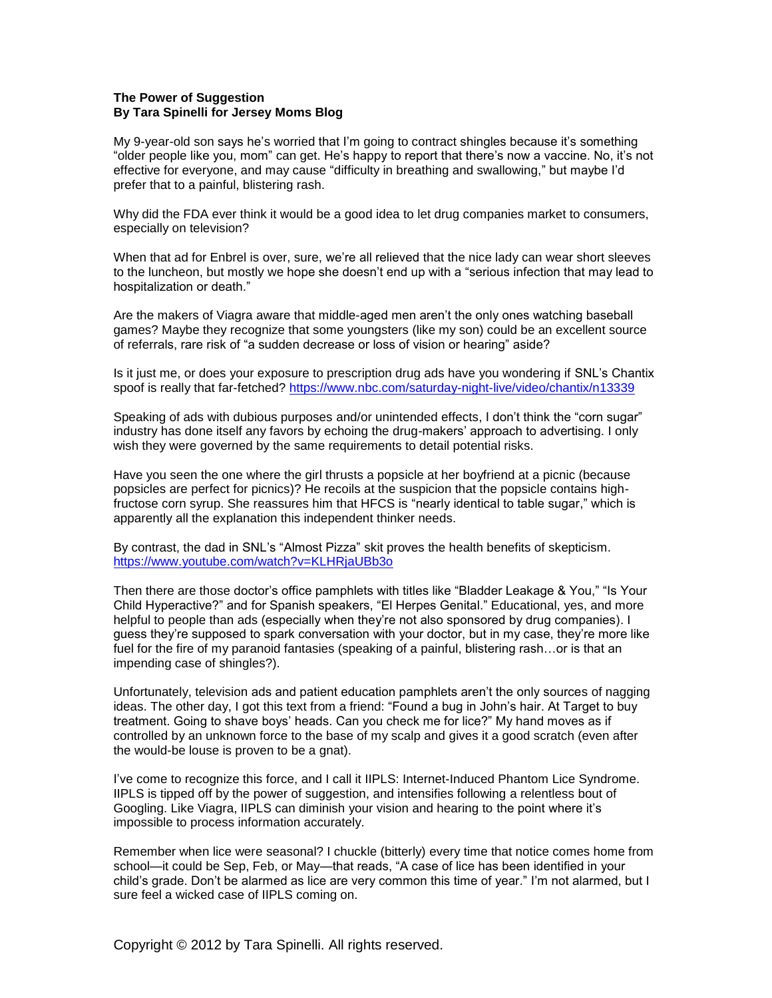## **The Power of Suggestion By Tara Spinelli for Jersey Moms Blog**

My 9-year-old son says he's worried that I'm going to contract shingles because it's something "older people like you, mom" can get. He's happy to report that there's now a vaccine. No, it's not effective for everyone, and may cause "difficulty in breathing and swallowing," but maybe I'd prefer that to a painful, blistering rash.

Why did the FDA ever think it would be a good idea to let drug companies market to consumers, especially on television?

When that ad for Enbrel is over, sure, we're all relieved that the nice lady can wear short sleeves to the luncheon, but mostly we hope she doesn't end up with a "serious infection that may lead to hospitalization or death."

Are the makers of Viagra aware that middle-aged men aren't the only ones watching baseball games? Maybe they recognize that some youngsters (like my son) could be an excellent source of referrals, rare risk of "a sudden decrease or loss of vision or hearing" aside?

Is it just me, or does your exposure to prescription drug ads have you wondering if SNL's Chantix spoof is really that far-fetched? https://www.nbc.com/saturday-night-live/video/chantix/n13339

Speaking of ads with dubious purposes and/or unintended effects, I don't think the "corn sugar" industry has done itself any favors by echoing the drug-makers' approach to advertising. I only wish they were governed by the same requirements to detail potential risks.

Have you seen the one where the girl thrusts a popsicle at her boyfriend at a picnic (because popsicles are perfect for picnics)? He recoils at the suspicion that the popsicle contains highfructose corn syrup. She reassures him that HFCS is "nearly identical to table sugar," which is apparently all the explanation this independent thinker needs.

By contrast, the dad in SNL's "Almost Pizza" skit proves the health benefits of skepticism. https://www.youtube.com/watch?v=KLHRjaUBb3o

Then there are those doctor's office pamphlets with titles like "Bladder Leakage & You," "Is Your Child Hyperactive?" and for Spanish speakers, "El Herpes Genital." Educational, yes, and more helpful to people than ads (especially when they're not also sponsored by drug companies). I guess they're supposed to spark conversation with your doctor, but in my case, they're more like fuel for the fire of my paranoid fantasies (speaking of a painful, blistering rash…or is that an impending case of shingles?).

Unfortunately, television ads and patient education pamphlets aren't the only sources of nagging ideas. The other day, I got this text from a friend: "Found a bug in John's hair. At Target to buy treatment. Going to shave boys' heads. Can you check me for lice?" My hand moves as if controlled by an unknown force to the base of my scalp and gives it a good scratch (even after the would-be louse is proven to be a gnat).

I've come to recognize this force, and I call it IIPLS: Internet-Induced Phantom Lice Syndrome. IIPLS is tipped off by the power of suggestion, and intensifies following a relentless bout of Googling. Like Viagra, IIPLS can diminish your vision and hearing to the point where it's impossible to process information accurately.

Remember when lice were seasonal? I chuckle (bitterly) every time that notice comes home from school—it could be Sep, Feb, or May—that reads, "A case of lice has been identified in your child's grade. Don't be alarmed as lice are very common this time of year." I'm not alarmed, but I sure feel a wicked case of IIPLS coming on.